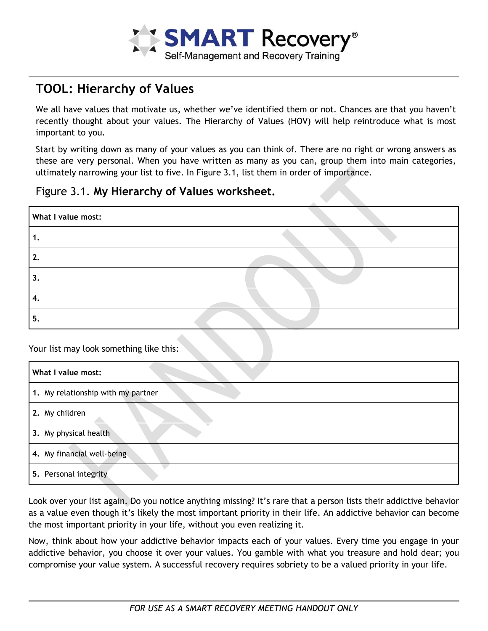

## **TOOL: Hierarchy of Values**

We all have values that motivate us, whether we've identified them or not. Chances are that you haven't recently thought about your values. The Hierarchy of Values (HOV) will help reintroduce what is most important to you.

Start by writing down as many of your values as you can think of. There are no right or wrong answers as these are very personal. When you have written as many as you can, group them into main categories, ultimately narrowing your list to five. In Figure 3.1, list them in order of importance.

## Figure 3.1. **My Hierarchy of Values worksheet.**

| What I value most: |  |
|--------------------|--|
| т.                 |  |
| 2.                 |  |
| 3.                 |  |
| -4.                |  |
| 5.                 |  |

Your list may look something like this:

| What I value most:                 |
|------------------------------------|
| 1. My relationship with my partner |
| 2. My children                     |
| 3. My physical health              |
| 4. My financial well-being         |
| 5. Personal integrity              |

Look over your list again. Do you notice anything missing? It's rare that a person lists their addictive behavior as a value even though it's likely the most important priority in their life. An addictive behavior can become the most important priority in your life, without you even realizing it.

Now, think about how your addictive behavior impacts each of your values. Every time you engage in your addictive behavior, you choose it over your values. You gamble with what you treasure and hold dear; you compromise your value system. A successful recovery requires sobriety to be a valued priority in your life.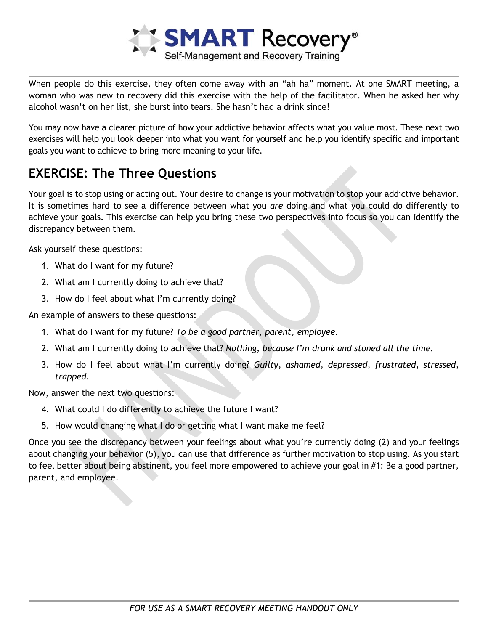

When people do this exercise, they often come away with an "ah ha" moment. At one SMART meeting, a woman who was new to recovery did this exercise with the help of the facilitator. When he asked her why alcohol wasn't on her list, she burst into tears. She hasn't had a drink since!

You may now have a clearer picture of how your addictive behavior affects what you value most. These next two exercises will help you look deeper into what you want for yourself and help you identify specific and important goals you want to achieve to bring more meaning to your life.

## **EXERCISE: The Three Questions**

Your goal is to stop using or acting out. Your desire to change is your motivation to stop your addictive behavior. It is sometimes hard to see a difference between what you *are* doing and what you could do differently to achieve your goals. This exercise can help you bring these two perspectives into focus so you can identify the discrepancy between them.

Ask yourself these questions:

- 1. What do I want for my future?
- 2. What am I currently doing to achieve that?
- 3. How do I feel about what I'm currently doing?

An example of answers to these questions:

- 1. What do I want for my future? *To be a good partner, parent, employee.*
- 2. What am I currently doing to achieve that? *Nothing, because I'm drunk and stoned all the time.*
- 3. How do I feel about what I'm currently doing? *Guilty, ashamed, depressed, frustrated, stressed, trapped.*

Now, answer the next two questions:

- 4. What could I do differently to achieve the future I want?
- 5. How would changing what I do or getting what I want make me feel?

Once you see the discrepancy between your feelings about what you're currently doing (2) and your feelings about changing your behavior (5), you can use that difference as further motivation to stop using. As you start to feel better about being abstinent, you feel more empowered to achieve your goal in #1: Be a good partner, parent, and employee.